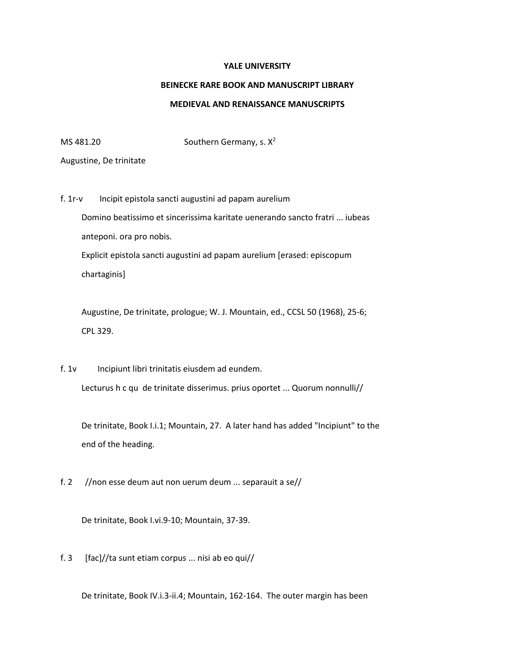## **YALE UNIVERSITY**

## **BEINECKE RARE BOOK AND MANUSCRIPT LIBRARY**

## **MEDIEVAL AND RENAISSANCE MANUSCRIPTS**

MS 481.20 Southern Germany, s.  $X^2$ 

Augustine, De trinitate

f. 1r-v Incipit epistola sancti augustini ad papam aurelium Domino beatissimo et sincerissima karitate uenerando sancto fratri ... iubeas anteponi. ora pro nobis. Explicit epistola sancti augustini ad papam aurelium [erased: episcopum chartaginis]

 Augustine, De trinitate, prologue; W. J. Mountain, ed., CCSL 50 (1968), 25-6; CPL 329.

f. 1v Incipiunt libri trinitatis eiusdem ad eundem. Lecturus h c qu de trinitate disserimus. prius oportet ... Quorum nonnulli//

 De trinitate, Book I.i.1; Mountain, 27. A later hand has added "Incipiunt" to the end of the heading.

f. 2 //non esse deum aut non uerum deum ... separauit a se//

De trinitate, Book I.vi.9-10; Mountain, 37-39.

f. 3  $[fac]/ta$  sunt etiam corpus ... nisi ab eo qui//

De trinitate, Book IV.i.3-ii.4; Mountain, 162-164. The outer margin has been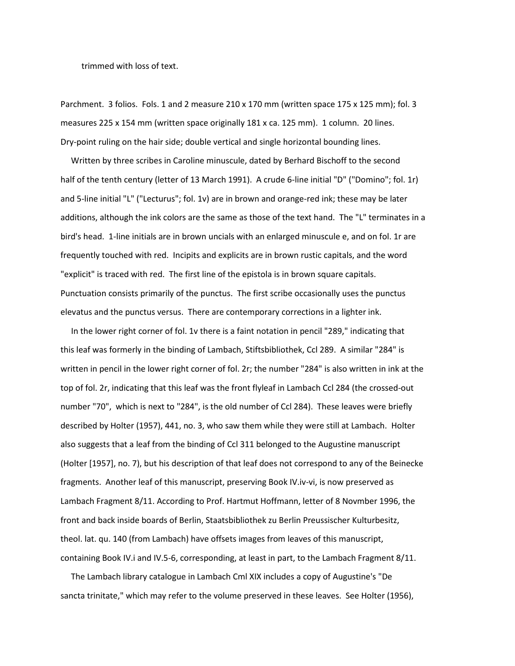trimmed with loss of text.

Parchment. 3 folios. Fols. 1 and 2 measure 210 x 170 mm (written space 175 x 125 mm); fol. 3 measures 225 x 154 mm (written space originally 181 x ca. 125 mm). 1 column. 20 lines. Dry-point ruling on the hair side; double vertical and single horizontal bounding lines.

 Written by three scribes in Caroline minuscule, dated by Berhard Bischoff to the second half of the tenth century (letter of 13 March 1991). A crude 6-line initial "D" ("Domino"; fol. 1r) and 5-line initial "L" ("Lecturus"; fol. 1v) are in brown and orange-red ink; these may be later additions, although the ink colors are the same as those of the text hand. The "L" terminates in a bird's head. 1-line initials are in brown uncials with an enlarged minuscule e, and on fol. 1r are frequently touched with red. Incipits and explicits are in brown rustic capitals, and the word "explicit" is traced with red. The first line of the epistola is in brown square capitals. Punctuation consists primarily of the punctus. The first scribe occasionally uses the punctus elevatus and the punctus versus. There are contemporary corrections in a lighter ink.

 In the lower right corner of fol. 1v there is a faint notation in pencil "289," indicating that this leaf was formerly in the binding of Lambach, Stiftsbibliothek, Ccl 289. A similar "284" is written in pencil in the lower right corner of fol. 2r; the number "284" is also written in ink at the top of fol. 2r, indicating that this leaf was the front flyleaf in Lambach Ccl 284 (the crossed-out number "70", which is next to "284", is the old number of Ccl 284). These leaves were briefly described by Holter (1957), 441, no. 3, who saw them while they were still at Lambach. Holter also suggests that a leaf from the binding of Ccl 311 belonged to the Augustine manuscript (Holter [1957], no. 7), but his description of that leaf does not correspond to any of the Beinecke fragments. Another leaf of this manuscript, preserving Book IV.iv-vi, is now preserved as Lambach Fragment 8/11. According to Prof. Hartmut Hoffmann, letter of 8 Novmber 1996, the front and back inside boards of Berlin, Staatsbibliothek zu Berlin Preussischer Kulturbesitz, theol. lat. qu. 140 (from Lambach) have offsets images from leaves of this manuscript, containing Book IV.i and IV.5-6, corresponding, at least in part, to the Lambach Fragment 8/11.

 The Lambach library catalogue in Lambach Cml XIX includes a copy of Augustine's "De sancta trinitate," which may refer to the volume preserved in these leaves. See Holter (1956),